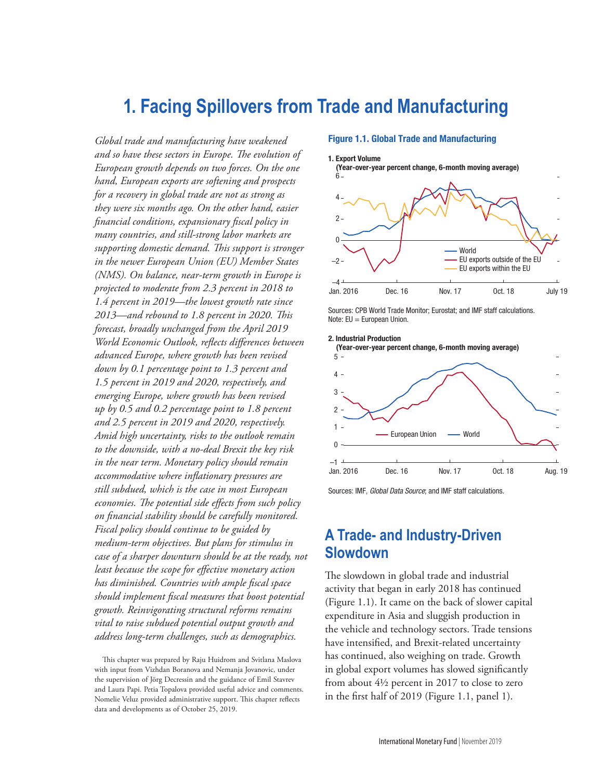# **1. Facing Spillovers from Trade and Manufacturing**

*Global trade and manufacturing have weakened and so have these sectors in Europe. The evolution of European growth depends on two forces. On the one hand, European exports are softening and prospects for a recovery in global trade are not as strong as they were six months ago. On the other hand, easier financial conditions, expansionary fiscal policy in many countries, and still-strong labor markets are supporting domestic demand. This support is stronger in the newer European Union (EU) Member States (NMS). On balance, near-term growth in Europe is projected to moderate from 2.3 percent in 2018 to 1.4 percent in 2019—the lowest growth rate since 2013—and rebound to 1.8 percent in 2020. This forecast, broadly unchanged from the April 2019 World Economic Outlook, reflects differences between advanced Europe, where growth has been revised down by 0.1 percentage point to 1.3 percent and 1.5 percent in 2019 and 2020, respectively, and emerging Europe, where growth has been revised up by 0.5 and 0.2 percentage point to 1.8 percent and 2.5 percent in 2019 and 2020, respectively. Amid high uncertainty, risks to the outlook remain to the downside, with a no-deal Brexit the key risk in the near term. Monetary policy should remain accommodative where inflationary pressures are still subdued, which is the case in most European economies. The potential side effects from such policy on financial stability should be carefully monitored. Fiscal policy should continue to be guided by medium-term objectives. But plans for stimulus in case of a sharper downturn should be at the ready, not least because the scope for effective monetary action has diminished. Countries with ample fiscal space should implement fiscal measures that boost potential growth. Reinvigorating structural reforms remains vital to raise subdued potential output growth and address long-term challenges, such as demographics.*

This chapter was prepared by Raju Huidrom and Svitlana Maslova with input from Vizhdan Boranova and Nemanja Jovanovic, under the supervision of Jörg Decressin and the guidance of Emil Stavrev and Laura Papi. Petia Topalova provided useful advice and comments. Nomelie Veluz provided administrative support. This chapter reflects data and developments as of October 25, 2019.

#### Figure 1.1. Global Trade and Manufacturing



(Year-over-year percent change, 6-month moving average)



Sources: CPB World Trade Monitor; Eurostat; and IMF staff calculations. Note: EU = European Union.



Sources: IMF, *Global Data Source*; and IMF staff calculations.

### **A Trade- and Industry-Driven Slowdown**

The slowdown in global trade and industrial activity that began in early 2018 has continued (Figure 1.1). It came on the back of slower capital expenditure in Asia and sluggish production in the vehicle and technology sectors. Trade tensions have intensified, and Brexit-related uncertainty has continued, also weighing on trade. Growth in global export volumes has slowed significantly from about 4½ percent in 2017 to close to zero in the first half of 2019 (Figure 1.1, panel 1).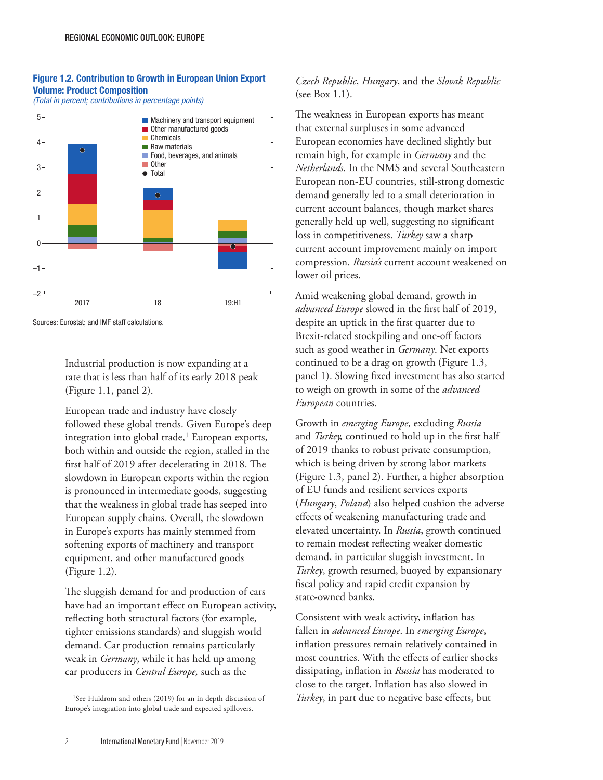### Figure 1.2. Contribution to Growth in European Union Export Volume: Product Composition

*(Total in percent; contributions in percentage points)*



Sources: Eurostat; and IMF staff calculations.

Industrial production is now expanding at a rate that is less than half of its early 2018 peak (Figure 1.1, panel 2).

European trade and industry have closely followed these global trends. Given Europe's deep integration into global trade,<sup>1</sup> European exports, both within and outside the region, stalled in the first half of 2019 after decelerating in 2018. The slowdown in European exports within the region is pronounced in intermediate goods, suggesting that the weakness in global trade has seeped into European supply chains. Overall, the slowdown in Europe's exports has mainly stemmed from softening exports of machinery and transport equipment, and other manufactured goods (Figure 1.2).

The sluggish demand for and production of cars have had an important effect on European activity, reflecting both structural factors (for example, tighter emissions standards) and sluggish world demand. Car production remains particularly weak in *Germany*, while it has held up among car producers in *Central Europe,* such as the

<sup>1</sup>See Huidrom and others (2019) for an in depth discussion of Europe's integration into global trade and expected spillovers.

### *Czech Republic*, *Hungary*, and the *Slovak Republic* (see Box 1.1).

The weakness in European exports has meant that external surpluses in some advanced European economies have declined slightly but remain high, for example in *Germany* and the *Netherlands*. In the NMS and several Southeastern European non-EU countries, still-strong domestic demand generally led to a small deterioration in current account balances, though market shares generally held up well, suggesting no significant loss in competitiveness. *Turkey* saw a sharp current account improvement mainly on import compression. *Russia's* current account weakened on lower oil prices.

Amid weakening global demand, growth in *advanced Europe* slowed in the first half of 2019, despite an uptick in the first quarter due to Brexit-related stockpiling and one-off factors such as good weather in *Germany*. Net exports continued to be a drag on growth (Figure 1.3, panel 1). Slowing fixed investment has also started to weigh on growth in some of the *advanced European* countries.

Growth in *emerging Europe,* excluding *Russia* and *Turkey,* continued to hold up in the first half of 2019 thanks to robust private consumption, which is being driven by strong labor markets (Figure 1.3, panel 2). Further, a higher absorption of EU funds and resilient services exports (*Hungary*, *Poland*) also helped cushion the adverse effects of weakening manufacturing trade and elevated uncertainty. In *Russia*, growth continued to remain modest reflecting weaker domestic demand, in particular sluggish investment. In *Turkey*, growth resumed, buoyed by expansionary fiscal policy and rapid credit expansion by state-owned banks.

Consistent with weak activity, inflation has fallen in *advanced Europe*. In *emerging Europe*, inflation pressures remain relatively contained in most countries. With the effects of earlier shocks dissipating, inflation in *Russia* has moderated to close to the target. Inflation has also slowed in *Turkey*, in part due to negative base effects, but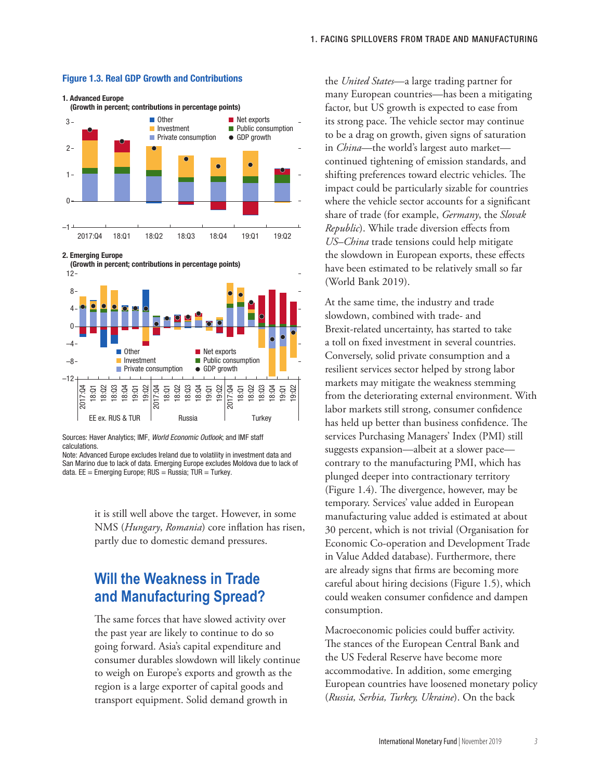

#### Figure 1.3. Real GDP Growth and Contributions

2. Emerging Europe



Sources: Haver Analytics; IMF, *World Economic Outlook*; and IMF staff calculations.

Note: Advanced Europe excludes Ireland due to volatility in investment data and San Marino due to lack of data. Emerging Europe excludes Moldova due to lack of data.  $EE =$  Emerging Europe; RUS = Russia; TUR = Turkey.

> it is still well above the target. However, in some NMS (*Hungary*, *Romania*) core inflation has risen, partly due to domestic demand pressures.

## **Will the Weakness in Trade and Manufacturing Spread?**

The same forces that have slowed activity over the past year are likely to continue to do so going forward. Asia's capital expenditure and consumer durables slowdown will likely continue to weigh on Europe's exports and growth as the region is a large exporter of capital goods and transport equipment. Solid demand growth in

the *United States*—a large trading partner for many European countries—has been a mitigating factor, but US growth is expected to ease from its strong pace. The vehicle sector may continue to be a drag on growth, given signs of saturation in *China*—the world's largest auto market continued tightening of emission standards, and shifting preferences toward electric vehicles. The impact could be particularly sizable for countries where the vehicle sector accounts for a significant share of trade (for example, *Germany*, the *Slovak Republic*). While trade diversion effects from *US–China* trade tensions could help mitigate the slowdown in European exports, these effects have been estimated to be relatively small so far (World Bank 2019).

At the same time, the industry and trade slowdown, combined with trade- and Brexit-related uncertainty, has started to take a toll on fixed investment in several countries. Conversely, solid private consumption and a resilient services sector helped by strong labor markets may mitigate the weakness stemming from the deteriorating external environment. With labor markets still strong, consumer confidence has held up better than business confidence. The services Purchasing Managers' Index (PMI) still suggests expansion—albeit at a slower pace contrary to the manufacturing PMI, which has plunged deeper into contractionary territory (Figure 1.4). The divergence, however, may be temporary. Services' value added in European manufacturing value added is estimated at about 30 percent, which is not trivial (Organisation for Economic Co-operation and Development Trade in Value Added database). Furthermore, there are already signs that firms are becoming more careful about hiring decisions (Figure 1.5), which could weaken consumer confidence and dampen consumption.

Macroeconomic policies could buffer activity. The stances of the European Central Bank and the US Federal Reserve have become more accommodative. In addition, some emerging European countries have loosened monetary policy (*Russia, Serbia, Turkey, Ukraine*). On the back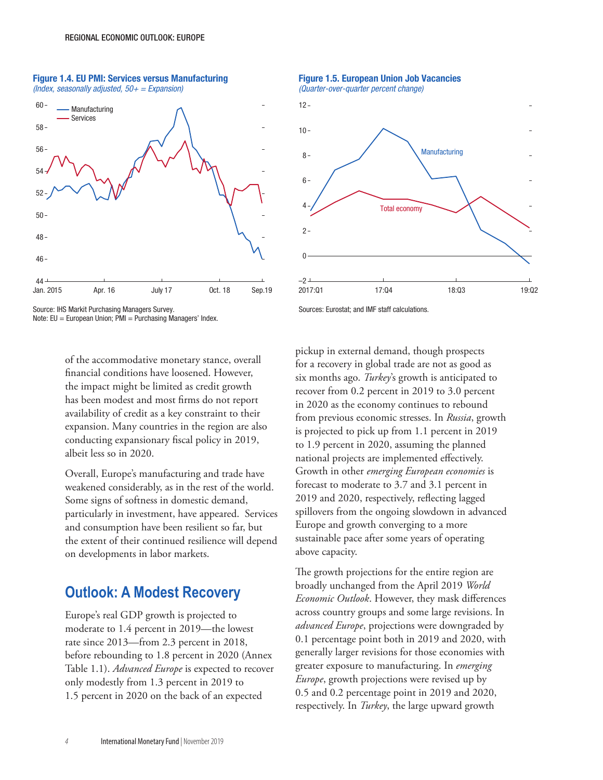Figure 1.4. EU PMI: Services versus Manufacturing *(Index, seasonally adjusted, 50+ = Expansion)*



Source: IHS Markit Purchasing Managers Survey.

Note: EU = European Union; PMI = Purchasing Managers' Index.

of the accommodative monetary stance, overall financial conditions have loosened. However, the impact might be limited as credit growth has been modest and most firms do not report availability of credit as a key constraint to their expansion. Many countries in the region are also conducting expansionary fiscal policy in 2019, albeit less so in 2020.

Overall, Europe's manufacturing and trade have weakened considerably, as in the rest of the world. Some signs of softness in domestic demand, particularly in investment, have appeared. Services and consumption have been resilient so far, but the extent of their continued resilience will depend on developments in labor markets.

### **Outlook: A Modest Recovery**

Europe's real GDP growth is projected to moderate to 1.4 percent in 2019—the lowest rate since 2013—from 2.3 percent in 2018, before rebounding to 1.8 percent in 2020 (Annex Table 1.1). *Advanced Europe* is expected to recover only modestly from 1.3 percent in 2019 to 1.5 percent in 2020 on the back of an expected

Figure 1.5. European Union Job Vacancies *(Quarter-over-quarter percent change)*



Sources: Eurostat; and IMF staff calculations.

pickup in external demand, though prospects for a recovery in global trade are not as good as six months ago. *Turkey*'s growth is anticipated to recover from 0.2 percent in 2019 to 3.0 percent in 2020 as the economy continues to rebound from previous economic stresses. In *Russia*, growth is projected to pick up from 1.1 percent in 2019 to 1.9 percent in 2020, assuming the planned national projects are implemented effectively. Growth in other *emerging European economies* is forecast to moderate to 3.7 and 3.1 percent in 2019 and 2020, respectively, reflecting lagged spillovers from the ongoing slowdown in advanced Europe and growth converging to a more sustainable pace after some years of operating above capacity.

The growth projections for the entire region are broadly unchanged from the April 2019 *World Economic Outlook*. However, they mask differences across country groups and some large revisions. In *advanced Europe*, projections were downgraded by 0.1 percentage point both in 2019 and 2020, with generally larger revisions for those economies with greater exposure to manufacturing. In *emerging Europe*, growth projections were revised up by 0.5 and 0.2 percentage point in 2019 and 2020, respectively. In *Turkey*, the large upward growth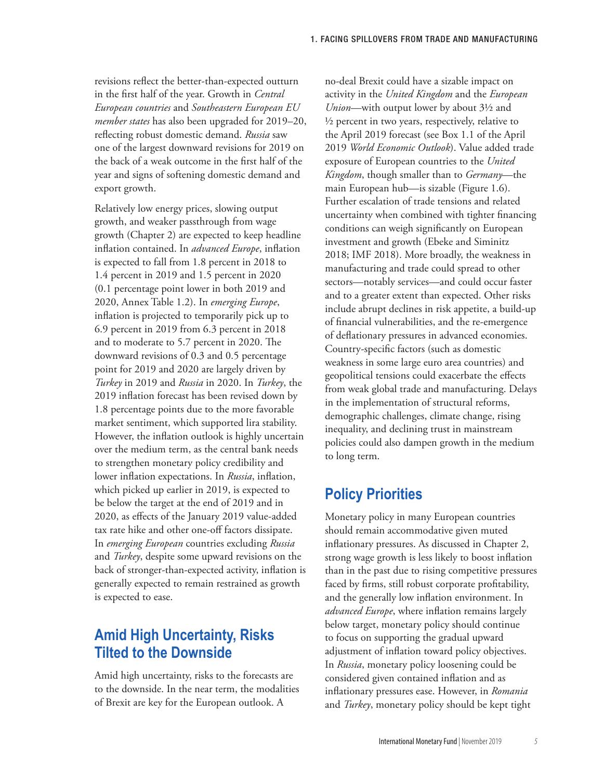revisions reflect the better-than-expected outturn in the first half of the year. Growth in *Central European countries* and *Southeastern European EU member states* has also been upgraded for 2019–20, reflecting robust domestic demand. *Russia* saw one of the largest downward revisions for 2019 on the back of a weak outcome in the first half of the year and signs of softening domestic demand and export growth.

Relatively low energy prices, slowing output growth, and weaker passthrough from wage growth (Chapter 2) are expected to keep headline inflation contained. In *advanced Europe*, inflation is expected to fall from 1.8 percent in 2018 to 1.4 percent in 2019 and 1.5 percent in 2020 (0.1 percentage point lower in both 2019 and 2020, Annex Table 1.2). In *emerging Europe*, inflation is projected to temporarily pick up to 6.9 percent in 2019 from 6.3 percent in 2018 and to moderate to 5.7 percent in 2020. The downward revisions of 0.3 and 0.5 percentage point for 2019 and 2020 are largely driven by *Turkey* in 2019 and *Russia* in 2020. In *Turkey*, the 2019 inflation forecast has been revised down by 1.8 percentage points due to the more favorable market sentiment, which supported lira stability. However, the inflation outlook is highly uncertain over the medium term, as the central bank needs to strengthen monetary policy credibility and lower inflation expectations. In *Russia*, inflation, which picked up earlier in 2019, is expected to be below the target at the end of 2019 and in 2020, as effects of the January 2019 value-added tax rate hike and other one-off factors dissipate. In *emerging European* countries excluding *Russia* and *Turkey*, despite some upward revisions on the back of stronger-than-expected activity, inflation is generally expected to remain restrained as growth is expected to ease.

## **Amid High Uncertainty, Risks Tilted to the Downside**

Amid high uncertainty, risks to the forecasts are to the downside. In the near term, the modalities of Brexit are key for the European outlook. A

no-deal Brexit could have a sizable impact on activity in the *United Kingdom* and the *European Union*—with output lower by about 3½ and ½ percent in two years, respectively, relative to the April 2019 forecast (see Box 1.1 of the April 2019 *World Economic Outlook*). Value added trade exposure of European countries to the *United Kingdom*, though smaller than to *Germany*—the main European hub—is sizable (Figure 1.6). Further escalation of trade tensions and related uncertainty when combined with tighter financing conditions can weigh significantly on European investment and growth (Ebeke and Siminitz 2018; IMF 2018). More broadly, the weakness in manufacturing and trade could spread to other sectors—notably services—and could occur faster and to a greater extent than expected. Other risks include abrupt declines in risk appetite, a build-up of financial vulnerabilities, and the re-emergence of deflationary pressures in advanced economies. Country-specific factors (such as domestic weakness in some large euro area countries) and geopolitical tensions could exacerbate the effects from weak global trade and manufacturing. Delays in the implementation of structural reforms, demographic challenges, climate change, rising inequality, and declining trust in mainstream policies could also dampen growth in the medium to long term.

## **Policy Priorities**

Monetary policy in many European countries should remain accommodative given muted inflationary pressures. As discussed in Chapter 2, strong wage growth is less likely to boost inflation than in the past due to rising competitive pressures faced by firms, still robust corporate profitability, and the generally low inflation environment. In *advanced Europe*, where inflation remains largely below target, monetary policy should continue to focus on supporting the gradual upward adjustment of inflation toward policy objectives. In *Russia*, monetary policy loosening could be considered given contained inflation and as inflationary pressures ease. However, in *Romania* and *Turkey*, monetary policy should be kept tight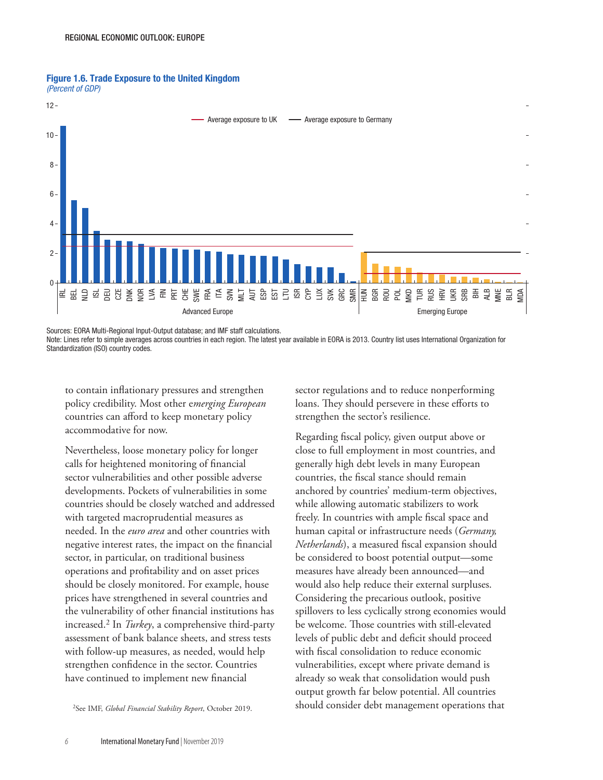



Sources: EORA Multi-Regional Input-Output database; and IMF staff calculations.

Note: Lines refer to simple averages across countries in each region. The latest year available in EORA is 2013. Country list uses International Organization for Standardization (ISO) country codes.

to contain inflationary pressures and strengthen policy credibility. Most other e*merging European*  countries can afford to keep monetary policy accommodative for now.

Nevertheless, loose monetary policy for longer calls for heightened monitoring of financial sector vulnerabilities and other possible adverse developments. Pockets of vulnerabilities in some countries should be closely watched and addressed with targeted macroprudential measures as needed. In the *euro area* and other countries with negative interest rates, the impact on the financial sector, in particular, on traditional business operations and profitability and on asset prices should be closely monitored. For example, house prices have strengthened in several countries and the vulnerability of other financial institutions has increased.2 In *Turkey*, a comprehensive third-party assessment of bank balance sheets, and stress tests with follow-up measures, as needed, would help strengthen confidence in the sector. Countries have continued to implement new financial

2See IMF, *Global Financial Stability Report*, October 2019.

sector regulations and to reduce nonperforming loans. They should persevere in these efforts to strengthen the sector's resilience.

Regarding fiscal policy, given output above or close to full employment in most countries, and generally high debt levels in many European countries, the fiscal stance should remain anchored by countries' medium-term objectives, while allowing automatic stabilizers to work freely. In countries with ample fiscal space and human capital or infrastructure needs (*Germany, Netherlands*), a measured fiscal expansion should be considered to boost potential output—some measures have already been announced—and would also help reduce their external surpluses. Considering the precarious outlook, positive spillovers to less cyclically strong economies would be welcome. Those countries with still-elevated levels of public debt and deficit should proceed with fiscal consolidation to reduce economic vulnerabilities, except where private demand is already so weak that consolidation would push output growth far below potential. All countries should consider debt management operations that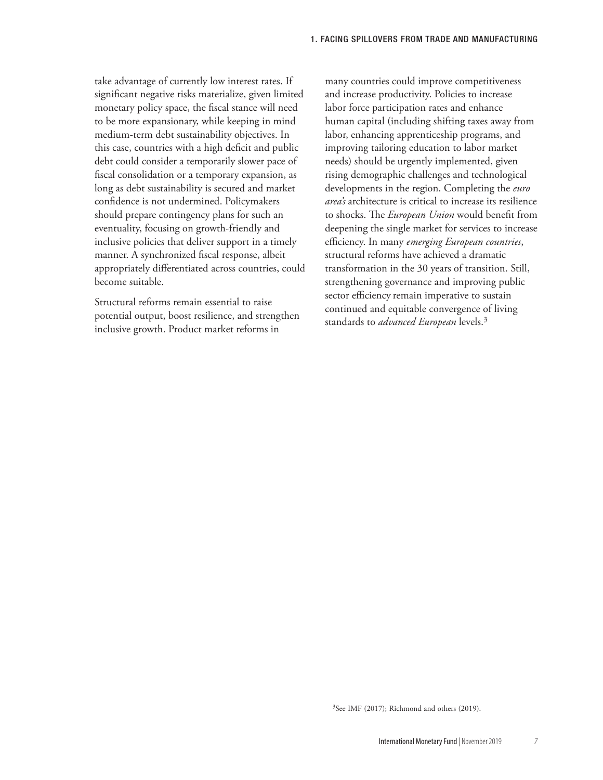take advantage of currently low interest rates. If significant negative risks materialize, given limited monetary policy space, the fiscal stance will need to be more expansionary, while keeping in mind medium-term debt sustainability objectives. In this case, countries with a high deficit and public debt could consider a temporarily slower pace of fiscal consolidation or a temporary expansion, as long as debt sustainability is secured and market confidence is not undermined. Policymakers should prepare contingency plans for such an eventuality, focusing on growth-friendly and inclusive policies that deliver support in a timely manner. A synchronized fiscal response, albeit appropriately differentiated across countries, could become suitable.

Structural reforms remain essential to raise potential output, boost resilience, and strengthen inclusive growth. Product market reforms in

many countries could improve competitiveness and increase productivity. Policies to increase labor force participation rates and enhance human capital (including shifting taxes away from labor, enhancing apprenticeship programs, and improving tailoring education to labor market needs) should be urgently implemented, given rising demographic challenges and technological developments in the region. Completing the *euro area's* architecture is critical to increase its resilience to shocks. The *European Union* would benefit from deepening the single market for services to increase efficiency. In many *emerging European countries*, structural reforms have achieved a dramatic transformation in the 30 years of transition. Still, strengthening governance and improving public sector efficiency remain imperative to sustain continued and equitable convergence of living standards to *advanced European* levels.3

3See IMF (2017); Richmond and others (2019).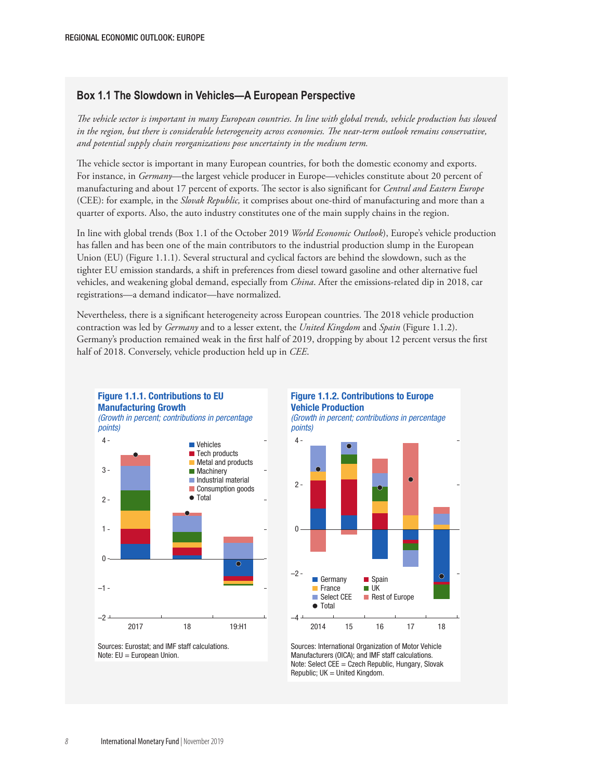#### **Box 1.1 The Slowdown in Vehicles—A European Perspective**

*The vehicle sector is important in many European countries. In line with global trends, vehicle production has slowed in the region, but there is considerable heterogeneity across economies. The near-term outlook remains conservative, and potential supply chain reorganizations pose uncertainty in the medium term.*

The vehicle sector is important in many European countries, for both the domestic economy and exports. For instance, in *Germany*—the largest vehicle producer in Europe—vehicles constitute about 20 percent of manufacturing and about 17 percent of exports. The sector is also significant for *Central and Eastern Europe* (CEE): for example, in the *Slovak Republic,* it comprises about one-third of manufacturing and more than a quarter of exports. Also, the auto industry constitutes one of the main supply chains in the region.

In line with global trends (Box 1.1 of the October 2019 *World Economic Outlook*), Europe's vehicle production has fallen and has been one of the main contributors to the industrial production slump in the European Union (EU) (Figure 1.1.1). Several structural and cyclical factors are behind the slowdown, such as the tighter EU emission standards, a shift in preferences from diesel toward gasoline and other alternative fuel vehicles, and weakening global demand, especially from *China*. After the emissions-related dip in 2018, car registrations—a demand indicator—have normalized.

Nevertheless, there is a significant heterogeneity across European countries. The 2018 vehicle production contraction was led by *Germany* and to a lesser extent, the *United Kingdom* and *Spain* (Figure 1.1.2). Germany's production remained weak in the first half of 2019, dropping by about 12 percent versus the first half of 2018. Conversely, vehicle production held up in *CEE*.



Figure 1.1.1. Contributions to EU





*(Growth in percent; contributions in percentage points)*



Sources: International Organization of Motor Vehicle Manufacturers (OICA); and IMF staff calculations. Note: Select CEE = Czech Republic, Hungary, Slovak  $Republic; UK = United Kingdom.$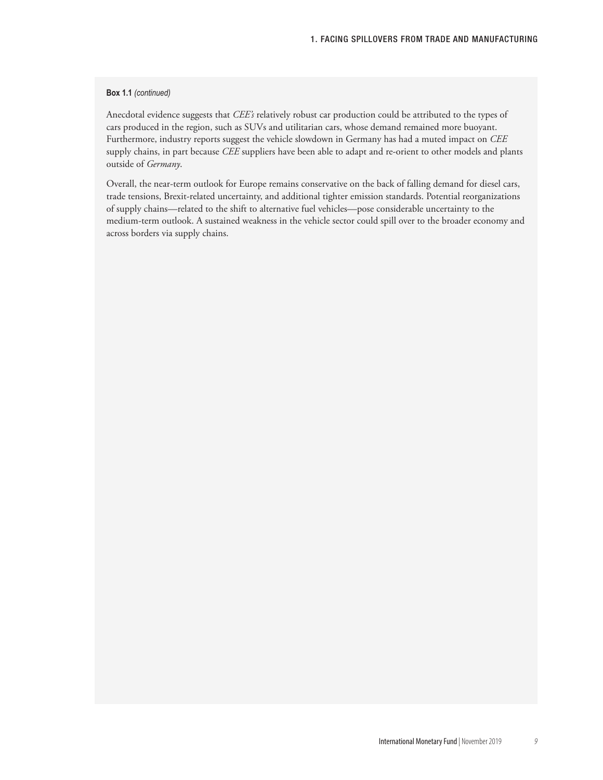#### **Box 1.1** *(continued)*

Anecdotal evidence suggests that *CEE's* relatively robust car production could be attributed to the types of cars produced in the region, such as SUVs and utilitarian cars, whose demand remained more buoyant. Furthermore, industry reports suggest the vehicle slowdown in Germany has had a muted impact on *CEE* supply chains, in part because *CEE* suppliers have been able to adapt and re-orient to other models and plants outside of *Germany*.

Overall, the near-term outlook for Europe remains conservative on the back of falling demand for diesel cars, trade tensions, Brexit-related uncertainty, and additional tighter emission standards. Potential reorganizations of supply chains—related to the shift to alternative fuel vehicles—pose considerable uncertainty to the medium-term outlook. A sustained weakness in the vehicle sector could spill over to the broader economy and across borders via supply chains.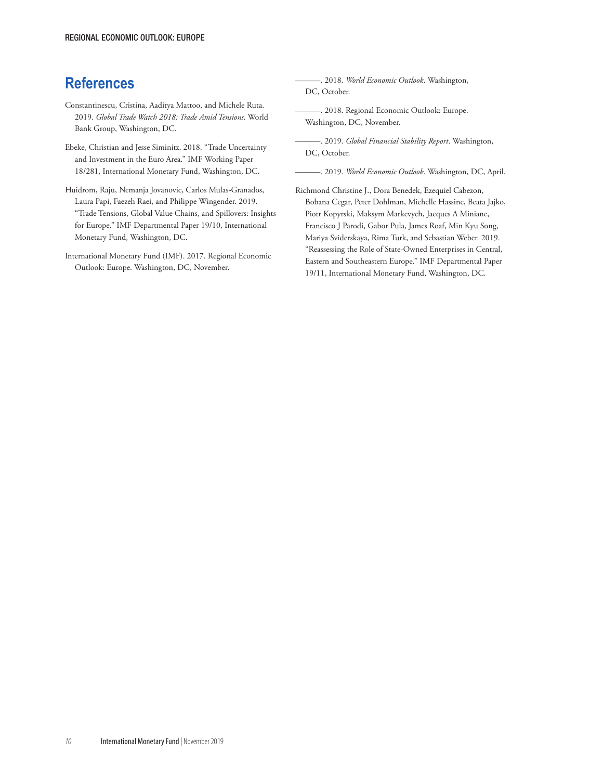## **References**

- Constantinescu, Cristina, Aaditya Mattoo, and Michele Ruta. 2019. *Global Trade Watch 2018: Trade Amid Tensions*. World Bank Group, Washington, DC.
- Ebeke, Christian and Jesse Siminitz. 2018. "Trade Uncertainty and Investment in the Euro Area." IMF Working Paper 18/281, International Monetary Fund, Washington, DC.
- Huidrom, Raju, Nemanja Jovanovic, Carlos Mulas-Granados, Laura Papi, Faezeh Raei, and Philippe Wingender. 2019. "Trade Tensions, Global Value Chains, and Spillovers: Insights for Europe." IMF Departmental Paper 19/10, International Monetary Fund, Washington, DC.
- International Monetary Fund (IMF). 2017. Regional Economic Outlook: Europe. Washington, DC, November.

———. 2018. *World Economic Outlook*. Washington, DC, October.

———. 2018. Regional Economic Outlook: Europe. Washington, DC, November.

———. 2019. *Global Financial Stability Report*. Washington, DC, October.

———. 2019. *World Economic Outlook*. Washington, DC, April.

Richmond Christine J., Dora Benedek, Ezequiel Cabezon, Bobana Cegar, Peter Dohlman, Michelle Hassine, Beata Jajko, Piotr Kopyrski, Maksym Markevych, Jacques A Miniane, Francisco J Parodi, Gabor Pula, James Roaf, Min Kyu Song, Mariya Sviderskaya, Rima Turk, and Sebastian Weber. 2019. "Reassessing the Role of State-Owned Enterprises in Central, Eastern and Southeastern Europe." IMF Departmental Paper 19/11, International Monetary Fund, Washington, DC.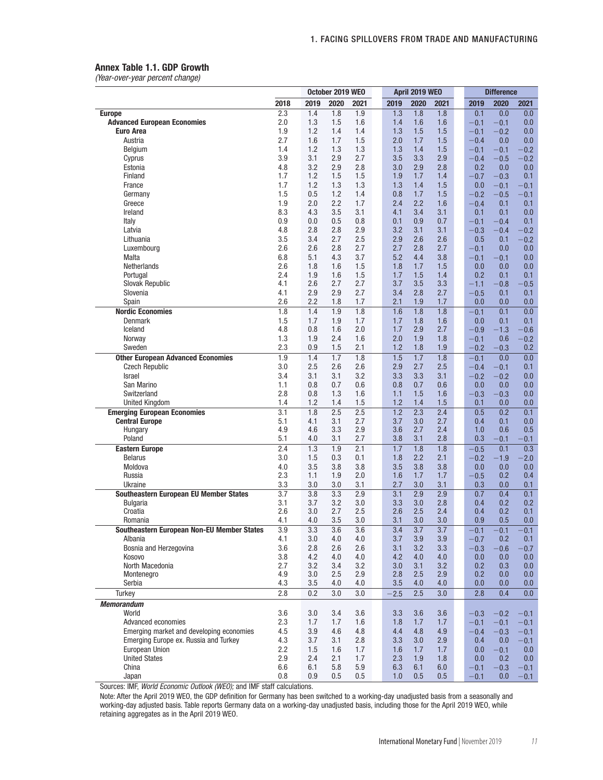#### Annex Table 1.1. GDP Growth

*(Year-over-year percent change)*

|                                               | October 2019 WEO |                  |                  |                  |  | April 2019 WEO   |                  |                  |  | <b>Difference</b> |                  |                  |
|-----------------------------------------------|------------------|------------------|------------------|------------------|--|------------------|------------------|------------------|--|-------------------|------------------|------------------|
|                                               | 2018             | 2019             | 2020             | 2021             |  | 2019             | 2020             | 2021             |  | 2019              | 2020             | 2021             |
| <b>Europe</b>                                 | 2.3              | 1.4              | 1.8              | 1.9              |  | 1.3              | 1.8              | 1.8              |  | 0.1               | 0.0              | 0.0              |
| <b>Advanced European Economies</b>            | 2.0              | 1.3              | 1.5              | 1.6              |  | 1.4              | 1.6              | 1.6              |  | $-0.1$            | $-0.1$           | 0.0              |
| <b>Euro Area</b>                              | 1.9              | 1.2              | 1.4              | 1.4              |  | 1.3              | 1.5              | 1.5              |  | $-0.1$            | $-0.2$           | 0.0              |
| Austria                                       | 2.7              | 1.6              | 1.7              | 1.5              |  | 2.0              | 1.7              | 1.5              |  | $-0.4$            | 0.0              | 0.0              |
| Belgium                                       | 1.4              | 1.2              | 1.3              | 1.3              |  | 1.3              | 1.4              | 1.5              |  | $-0.1$            | $-0.1$           | $-0.2$           |
| Cyprus                                        | 3.9              | 3.1              | 2.9              | 2.7              |  | 3.5              | 3.3              | 2.9              |  | $-0.4$            | $-0.5$           | $-0.2$           |
| Estonia                                       | 4.8              | 3.2              | 2.9              | 2.8              |  | 3.0              | 2.9              | 2.8              |  | 0.2               | 0.0              | 0.0              |
| Finland                                       | 1.7              | 1.2              | 1.5              | 1.5              |  | 1.9              | 1.7              | 1.4              |  | $-0.7$            | $-0.3$           | 0.1              |
| France                                        | 1.7              | 1.2              | 1.3              | 1.3              |  | 1.3              | 1.4              | 1.5              |  | 0.0               | $-0.1$           | $-0.1$           |
| Germany<br>Greece                             | 1.5              | 0.5<br>2.0       | 1.2<br>2.2       | 1.4<br>1.7       |  | 0.8<br>2.4       | 1.7<br>2.2       | 1.5<br>1.6       |  | $-0.2$            | $-0.5$           | $-0.1$           |
| Ireland                                       | 1.9<br>8.3       | 4.3              | 3.5              | 3.1              |  | 4.1              | 3.4              | 3.1              |  | $-0.4$<br>0.1     | 0.1<br>0.1       | 0.1              |
| Italy                                         | 0.9              | 0.0              | 0.5              | 0.8              |  | 0.1              | 0.9              | 0.7              |  | $-0.1$            | $-0.4$           | 0.0<br>0.1       |
| Latvia                                        | 4.8              | 2.8              | 2.8              | 2.9              |  | 3.2              | 3.1              | 3.1              |  | $-0.3$            | 0.4              | $-0.2$           |
| Lithuania                                     | 3.5              | 3.4              | 2.7              | 2.5              |  | 2.9              | 2.6              | 2.6              |  | 0.5               | 0.1              | $-0.2$           |
| Luxembourg                                    | 2.6              | 2.6              | 2.8              | 2.7              |  | 2.7              | 2.8              | 2.7              |  | $-0.1$            | 0.0              | 0.0              |
| Malta                                         | 6.8              | 5.1              | 4.3              | 3.7              |  | 5.2              | 4.4              | 3.8              |  | $-0.1$            | $-0.1$           | 0.0              |
| <b>Netherlands</b>                            | 2.6              | 1.8              | 1.6              | 1.5              |  | 1.8              | 1.7              | 1.5              |  | 0.0               | 0.0              | 0.0              |
| Portugal                                      | 2.4              | 1.9              | 1.6              | 1.5              |  | 1.7              | 1.5              | 1.4              |  | 0.2               | 0.1              | 0.1              |
| <b>Slovak Republic</b>                        | 4.1              | 2.6              | 2.7              | 2.7              |  | 3.7              | 3.5              | 3.3              |  | $-1.1$            | $-0.8$           | 0.5              |
| Slovenia                                      | 4.1              | 2.9              | 2.9              | 2.7              |  | 3.4              | 2.8              | 2.7              |  | $-0.5$            | 0.1              | 0.1              |
| Spain                                         | 2.6              | 2.2              | 1.8              | 1.7              |  | 2.1              | 1.9              | 1.7              |  | 0.0               | 0.0              | 0.0              |
| <b>Nordic Economies</b>                       | 1.8              | 1.4              | 1.9              | 1.8              |  | 1.6              | 1.8              | 1.8              |  | $-0.1$            | 0.1              | 0.0              |
| Denmark                                       | 1.5              | 1.7              | 1.9              | 1.7              |  | 1.7              | 1.8              | 1.6              |  | 0.0               | 0.1              | 0.1              |
| Iceland                                       | 4.8              | 0.8              | 1.6              | 2.0              |  | 1.7              | 2.9              | 2.7              |  | $-0.9$            | $-1.3$           | $-0.6$           |
| Norway                                        | 1.3              | 1.9              | 2.4              | 1.6              |  | 2.0              | 1.9              | 1.8              |  | $-0.1$            | 0.6              | $-0.2$           |
| Sweden                                        | 2.3              | 0.9              | 1.5              | 2.1              |  | 1.2              | 1.8              | 1.9              |  | $-0.2$            | $-0.3$           | 0.2              |
| <b>Other European Advanced Economies</b>      | 1.9              | 1.4              | 1.7              | 1.8              |  | 1.5              | 1.7              | 1.8              |  | $-0.1$            | 0.0              | 0.0              |
| <b>Czech Republic</b>                         | 3.0              | 2.5              | 2.6              | 2.6              |  | 2.9              | 2.7              | 2.5              |  | $-0.4$            | $-0.1$           | 0.1              |
| <b>Israel</b>                                 | 3.4              | 3.1              | 3.1              | 3.2              |  | 3.3              | 3.3              | 3.1              |  | $-0.2$            | $-0.2$           | 0.0              |
| San Marino                                    | 1.1              | 0.8              | 0.7              | 0.6              |  | 0.8              | 0.7              | 0.6              |  | 0.0               | 0.0              | 0.0              |
| Switzerland                                   | 2.8              | 0.8              | 1.3              | 1.6              |  | 1.1              | 1.5              | 1.6              |  | $-0.3$            | $-0.3$           | 0.0              |
| <b>United Kingdom</b>                         | 1.4              | 1.2              | 1.4              | 1.5              |  | 1.2              | 1.4              | 1.5              |  | 0.1               | 0.0              | 0.0              |
| <b>Emerging European Economies</b>            | 3.1              | 1.8              | 2.5              | 2.5              |  | 1.2              | 2.3              | 2.4              |  | 0.5               | 0.2              | 0.1              |
| <b>Central Europe</b>                         | 5.1              | 4.1              | 3.1              | 2.7              |  | 3.7              | 3.0              | 2.7              |  | 0.4               | 0.1              | 0.0              |
| Hungary                                       | 4.9              | 4.6              | 3.3              | 2.9              |  | 3.6              | 2.7              | 2.4              |  | 1.0               | 0.6              | 0.5              |
| Poland                                        | 5.1              | 4.0              | 3.1              | 2.7              |  | 3.8              | 3.1              | 2.8              |  | 0.3               | 0.1              | 0.1              |
| <b>Eastern Europe</b>                         | 2.4              | 1.3              | 1.9              | 2.1              |  | 1.7              | 1.8              | 1.8              |  | $-0.5$            | 0.1              | 0.3              |
| <b>Belarus</b>                                | 3.0              | 1.5              | 0.3              | 0.1              |  | 1.8              | 2.2              | 2.1              |  | $-0.2$            | $-1.9$           | $-2.0$           |
| Moldova                                       | 4.0              | 3.5              | 3.8              | 3.8              |  | 3.5              | 3.8              | 3.8              |  | 0.0               | 0.0              | 0.0              |
| Russia                                        | 2.3              | 1.1              | 1.9              | 2.0              |  | 1.6              | 1.7              | 1.7              |  | $-0.5$            | 0.2              | 0.4              |
| Ukraine                                       | 3.3              | 3.0              | 3.0              | 3.1              |  | 2.7              | 3.0              | 3.1              |  | 0.3               | 0.0              | 0.1              |
| <b>Southeastern European EU Member States</b> | $\overline{3.7}$ | 3.8              | $\overline{3.3}$ | 2.9              |  | 3.1              | 2.9              | 2.9              |  | 0.7               | 0.4              | 0.1              |
| Bulgaria                                      | 3.1              | 3.7              | 3.2              | 3.0              |  | 3.3              | 3.0              | 2.8              |  | 0.4               | 0.2              | 0.2              |
| Croatia<br>Romania                            | 2.6<br>4.1       | 3.0<br>4.0       | 2.7<br>3.5       | 2.5<br>3.0       |  | 2.6<br>3.1       | 2.5<br>3.0       | 2.4<br>3.0       |  | 0.4<br>0.9        | 0.2<br>0.5       | 0.1<br>0.0       |
| Southeastern European Non-EU Member States    | $\overline{3.9}$ | $\overline{3.3}$ | $\overline{3.6}$ | $\overline{3.6}$ |  | $\overline{3.4}$ | $\overline{3.7}$ | $\overline{3.7}$ |  | $-0.1$            | $\overline{0.1}$ | $\overline{0.1}$ |
| Albania                                       | 4.1              | 3.0              | 4.0              | 4.0              |  | 3.7              | 3.9              | 3.9              |  | $-0.7$            | 0.2              | 0.1              |
| Bosnia and Herzegovina                        | 3.6              | 2.8              | 2.6              | 2.6              |  | 3.1              | 3.2              | 3.3              |  | $-0.3$            | $-0.6$           | $-0.7$           |
| Kosovo                                        | 3.8              | 4.2              | 4.0              | 4.0              |  | 4.2              | 4.0              | 4.0              |  | 0.0               | 0.0              | 0.0              |
| North Macedonia                               | 2.7              | 3.2              | 3.4              | 3.2              |  | 3.0              | 3.1              | 3.2              |  | 0.2               | 0.3              | 0.0              |
| Montenegro                                    | 4.9              | 3.0              | 2.5              | 2.9              |  | 2.8              | 2.5              | 2.9              |  | 0.2               | 0.0              | 0.0              |
| Serbia                                        | 4.3              | 3.5              | 4.0              | 4.0              |  | 3.5              | 4.0              | 4.0              |  | 0.0               | 0.0              | 0.0              |
| Turkey                                        | 2.8              | 0.2              | 3.0              | 3.0              |  | $-2.5$           | 2.5              | 3.0              |  | 2.8               | 0.4              | 0.0              |
| <b>Memorandum</b>                             |                  |                  |                  |                  |  |                  |                  |                  |  |                   |                  |                  |
| World                                         | 3.6              | 3.0              | 3.4              | 3.6              |  | 3.3              | 3.6              | 3.6              |  | $-0.3$            | $-0.2$           | $-0.1$           |
| Advanced economies                            | 2.3              | 1.7              | 1.7              | 1.6              |  | 1.8              | 1.7              | 1.7              |  | $-0.1$            | $-0.1$           | $-0.1$           |
| Emerging market and developing economies      | 4.5              | 3.9              | 4.6              | 4.8              |  | 4.4              | 4.8              | 4.9              |  | $-0.4$            | $-0.3$           | $-0.1$           |
| Emerging Europe ex. Russia and Turkey         | 4.3              | 3.7              | 3.1              | 2.8              |  | 3.3              | 3.0              | 2.9              |  | 0.4               | 0.0              | $-0.1$           |
| European Union                                | 2.2              | 1.5              | 1.6              | 1.7              |  | 1.6              | 1.7              | 1.7              |  | 0.0               | $-0.1$           | 0.0              |
| <b>United States</b>                          | 2.9              | 2.4              | 2.1              | 1.7              |  | 2.3              | 1.9              | 1.8              |  | 0.0               | 0.2              | 0.0              |
| China                                         | 6.6              | 6.1              | 5.8              | 5.9              |  | 6.3              | 6.1              | 6.0              |  | $-0.1$            | $-0.3$           | $-0.1$           |
| Japan                                         | 0.8              | 0.9              | 0.5              | 0.5              |  | 1.0              | 0.5              | 0.5              |  | $-0.1$            | 0.0              | $-0.1$           |
|                                               |                  |                  |                  |                  |  |                  |                  |                  |  |                   |                  |                  |

Sources: IMF, *World Economic Outlook (WEO);* and IMF staff calculations.

Note: After the April 2019 WEO, the GDP definition for Germany has been switched to a working-day unadjusted basis from a seasonally and working-day adjusted basis. Table reports Germany data on a working-day unadjusted basis, including those for the April 2019 WEO, while retaining aggregates as in the April 2019 WEO.